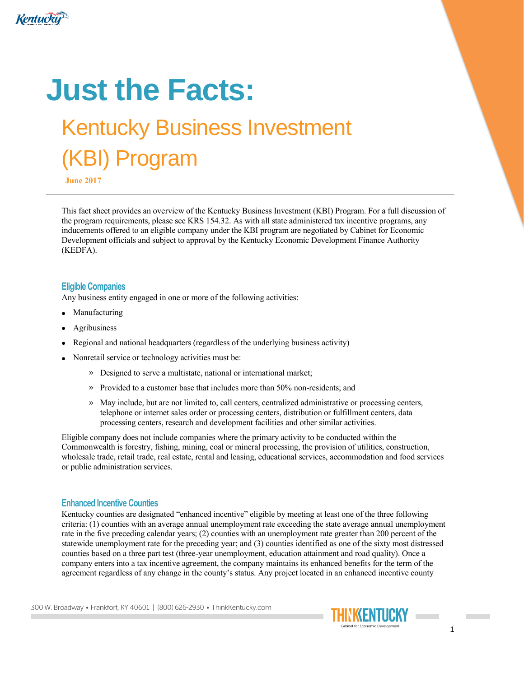

# **Just the Facts:**

# Kentucky Business Investment (KBI) Program

**June 2017**

This fact sheet provides an overview of the Kentucky Business Investment (KBI) Program. For a full discussion of the program requirements, please see KRS 154.32. As with all state administered tax incentive programs, any inducements offered to an eligible company under the KBI program are negotiated by Cabinet for Economic Development officials and subject to approval by the Kentucky Economic Development Finance Authority (KEDFA).

#### **Eligible Companies**

Any business entity engaged in one or more of the following activities:

- Manufacturing
- Agribusiness
- Regional and national headquarters (regardless of the underlying business activity)
- Nonretail service or technology activities must be:
	- » Designed to serve a multistate, national or international market;
	- » Provided to a customer base that includes more than 50% non-residents; and
	- » May include, but are not limited to, call centers, centralized administrative or processing centers, telephone or internet sales order or processing centers, distribution or fulfillment centers, data processing centers, research and development facilities and other similar activities.

Eligible company does not include companies where the primary activity to be conducted within the Commonwealth is forestry, fishing, mining, coal or mineral processing, the provision of utilities, construction, wholesale trade, retail trade, real estate, rental and leasing, educational services, accommodation and food services or public administration services.

#### **Enhanced Incentive Counties**

Kentucky counties are designated "enhanced incentive" eligible by meeting at least one of the three following criteria: (1) counties with an average annual unemployment rate exceeding the state average annual unemployment rate in the five preceding calendar years; (2) counties with an unemployment rate greater than 200 percent of the statewide unemployment rate for the preceding year; and (3) counties identified as one of the sixty most distressed counties based on a three part test (three-year unemployment, education attainment and road quality). Once a company enters into a tax incentive agreement, the company maintains its enhanced benefits for the term of the agreement regardless of any change in the county's status. Any project located in an enhanced incentive county

300 W. Broadway • Frankfort, KY 40601 | (800) 626-2930 • ThinkKentucky.com

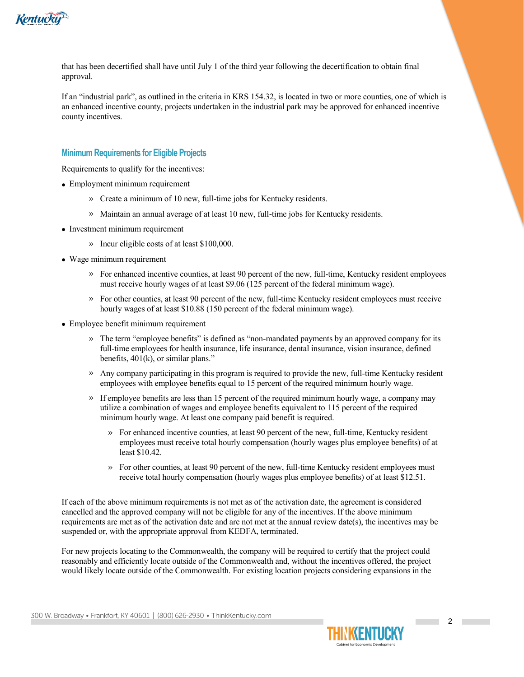

that has been decertified shall have until July 1 of the third year following the decertification to obtain final approval.

If an "industrial park", as outlined in the criteria in KRS 154.32, is located in two or more counties, one of which is an enhanced incentive county, projects undertaken in the industrial park may be approved for enhanced incentive county incentives.

#### **Minimum Requirements for Eligible Projects**

Requirements to qualify for the incentives:

- Employment minimum requirement
	- » Create a minimum of 10 new, full-time jobs for Kentucky residents.
	- » Maintain an annual average of at least 10 new, full-time jobs for Kentucky residents.
- Investment minimum requirement
	- » Incur eligible costs of at least \$100,000.
- Wage minimum requirement
	- » For enhanced incentive counties, at least 90 percent of the new, full-time, Kentucky resident employees must receive hourly wages of at least \$9.06 (125 percent of the federal minimum wage).
	- » For other counties, at least 90 percent of the new, full-time Kentucky resident employees must receive hourly wages of at least \$10.88 (150 percent of the federal minimum wage).
- Employee benefit minimum requirement
	- » The term "employee benefits" is defined as "non-mandated payments by an approved company for its full-time employees for health insurance, life insurance, dental insurance, vision insurance, defined benefits, 401(k), or similar plans."
	- » Any company participating in this program is required to provide the new, full-time Kentucky resident employees with employee benefits equal to 15 percent of the required minimum hourly wage.
	- » If employee benefits are less than 15 percent of the required minimum hourly wage, a company may utilize a combination of wages and employee benefits equivalent to 115 percent of the required minimum hourly wage. At least one company paid benefit is required.
		- » For enhanced incentive counties, at least 90 percent of the new, full-time, Kentucky resident employees must receive total hourly compensation (hourly wages plus employee benefits) of at least \$10.42.
		- » For other counties, at least 90 percent of the new, full-time Kentucky resident employees must receive total hourly compensation (hourly wages plus employee benefits) of at least \$12.51.

If each of the above minimum requirements is not met as of the activation date, the agreement is considered cancelled and the approved company will not be eligible for any of the incentives. If the above minimum requirements are met as of the activation date and are not met at the annual review date(s), the incentives may be suspended or, with the appropriate approval from KEDFA, terminated.

For new projects locating to the Commonwealth, the company will be required to certify that the project could reasonably and efficiently locate outside of the Commonwealth and, without the incentives offered, the project would likely locate outside of the Commonwealth. For existing location projects considering expansions in the

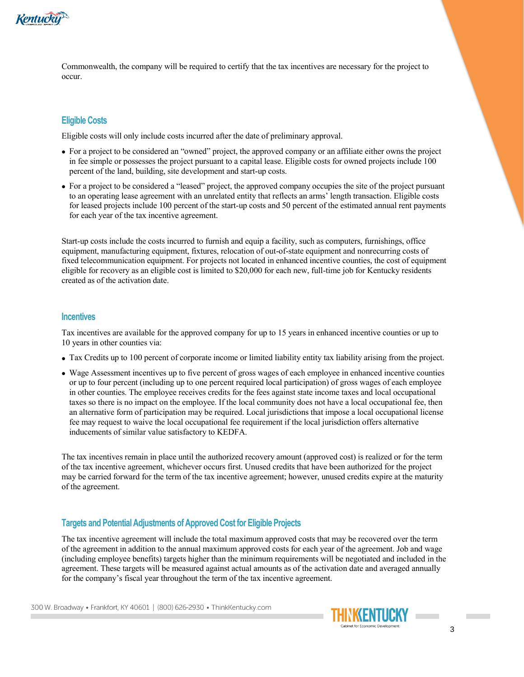

Commonwealth, the company will be required to certify that the tax incentives are necessary for the project to occur.

### **Eligible Costs**

Eligible costs will only include costs incurred after the date of preliminary approval.

- For a project to be considered an "owned" project, the approved company or an affiliate either owns the project in fee simple or possesses the project pursuant to a capital lease. Eligible costs for owned projects include 100 percent of the land, building, site development and start-up costs.
- For a project to be considered a "leased" project, the approved company occupies the site of the project pursuant to an operating lease agreement with an unrelated entity that reflects an arms' length transaction. Eligible costs for leased projects include 100 percent of the start-up costs and 50 percent of the estimated annual rent payments for each year of the tax incentive agreement.

Start-up costs include the costs incurred to furnish and equip a facility, such as computers, furnishings, office equipment, manufacturing equipment, fixtures, relocation of out-of-state equipment and nonrecurring costs of fixed telecommunication equipment. For projects not located in enhanced incentive counties, the cost of equipment eligible for recovery as an eligible cost is limited to \$20,000 for each new, full-time job for Kentucky residents created as of the activation date.

#### **Incentives**

Tax incentives are available for the approved company for up to 15 years in enhanced incentive counties or up to 10 years in other counties via:

- Tax Credits up to 100 percent of corporate income or limited liability entity tax liability arising from the project.
- Wage Assessment incentives up to five percent of gross wages of each employee in enhanced incentive counties or up to four percent (including up to one percent required local participation) of gross wages of each employee in other counties. The employee receives credits for the fees against state income taxes and local occupational taxes so there is no impact on the employee. If the local community does not have a local occupational fee, then an alternative form of participation may be required. Local jurisdictions that impose a local occupational license fee may request to waive the local occupational fee requirement if the local jurisdiction offers alternative inducements of similar value satisfactory to KEDFA.

The tax incentives remain in place until the authorized recovery amount (approved cost) is realized or for the term of the tax incentive agreement, whichever occurs first. Unused credits that have been authorized for the project may be carried forward for the term of the tax incentive agreement; however, unused credits expire at the maturity of the agreement.

#### **Targets and Potential Adjustments of Approved Cost for Eligible Projects**

The tax incentive agreement will include the total maximum approved costs that may be recovered over the term of the agreement in addition to the annual maximum approved costs for each year of the agreement. Job and wage (including employee benefits) targets higher than the minimum requirements will be negotiated and included in the agreement. These targets will be measured against actual amounts as of the activation date and averaged annually for the company's fiscal year throughout the term of the tax incentive agreement.

300 W. Broadway • Frankfort, KY 40601 | (800) 626-2930 • ThinkKentucky.com

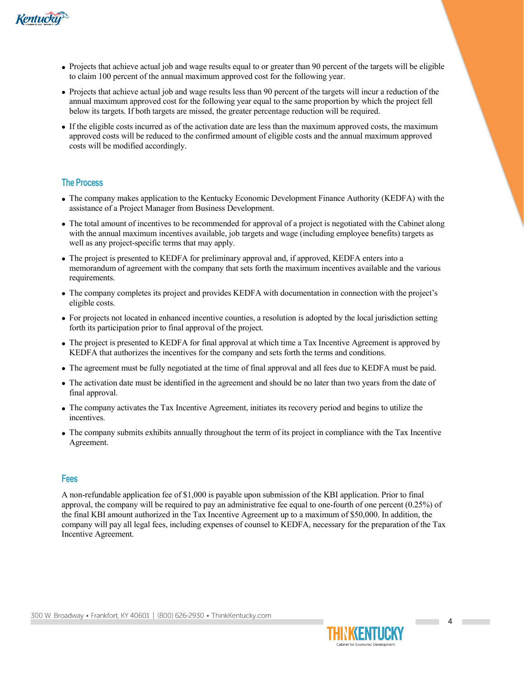

- Projects that achieve actual job and wage results equal to or greater than 90 percent of the targets will be eligible to claim 100 percent of the annual maximum approved cost for the following year.
- Projects that achieve actual job and wage results less than 90 percent of the targets will incur a reduction of the annual maximum approved cost for the following year equal to the same proportion by which the project fell below its targets. If both targets are missed, the greater percentage reduction will be required.
- If the eligible costs incurred as of the activation date are less than the maximum approved costs, the maximum approved costs will be reduced to the confirmed amount of eligible costs and the annual maximum approved costs will be modified accordingly.

#### **The Process**

- The company makes application to the Kentucky Economic Development Finance Authority (KEDFA) with the assistance of a Project Manager from Business Development.
- The total amount of incentives to be recommended for approval of a project is negotiated with the Cabinet along with the annual maximum incentives available, job targets and wage (including employee benefits) targets as well as any project-specific terms that may apply.
- The project is presented to KEDFA for preliminary approval and, if approved, KEDFA enters into a memorandum of agreement with the company that sets forth the maximum incentives available and the various requirements.
- The company completes its project and provides KEDFA with documentation in connection with the project's eligible costs.
- For projects not located in enhanced incentive counties, a resolution is adopted by the local jurisdiction setting forth its participation prior to final approval of the project.
- The project is presented to KEDFA for final approval at which time a Tax Incentive Agreement is approved by KEDFA that authorizes the incentives for the company and sets forth the terms and conditions.
- The agreement must be fully negotiated at the time of final approval and all fees due to KEDFA must be paid.
- The activation date must be identified in the agreement and should be no later than two years from the date of final approval.
- The company activates the Tax Incentive Agreement, initiates its recovery period and begins to utilize the incentives.
- The company submits exhibits annually throughout the term of its project in compliance with the Tax Incentive Agreement.

#### **Fees**

A non-refundable application fee of \$1,000 is payable upon submission of the KBI application. Prior to final approval, the company will be required to pay an administrative fee equal to one-fourth of one percent (0.25%) of the final KBI amount authorized in the Tax Incentive Agreement up to a maximum of \$50,000. In addition, the company will pay all legal fees, including expenses of counsel to KEDFA, necessary for the preparation of the Tax Incentive Agreement.

300 W. Broadway • Frankfort, KY 40601 | (800) 626-2930 • ThinkKentucky.com



**Contract**